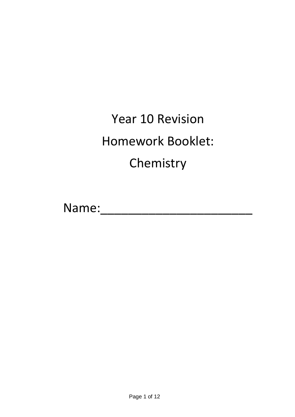# Year 10 Revision Homework Booklet: Chemistry

Name:\_\_\_\_\_\_\_\_\_\_\_\_\_\_\_\_\_\_\_\_\_\_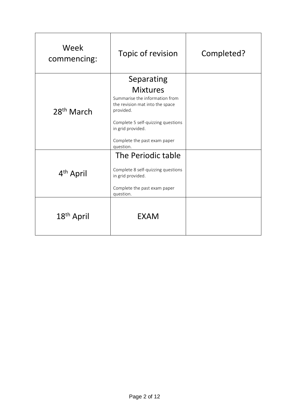| Week<br>commencing:    | Topic of revision                                                                                                                                                                                         | Completed? |
|------------------------|-----------------------------------------------------------------------------------------------------------------------------------------------------------------------------------------------------------|------------|
|                        | Separating                                                                                                                                                                                                |            |
| $28th$ March           | <b>Mixtures</b><br>Summarise the information from<br>the revision mat into the space<br>provided.<br>Complete 5 self-quizzing questions<br>in grid provided.<br>Complete the past exam paper<br>question. |            |
| 4 <sup>th</sup> April  | The Periodic table<br>Complete 8 self-quizzing questions<br>in grid provided.<br>Complete the past exam paper<br>question.                                                                                |            |
| 18 <sup>th</sup> April | <b>EXAM</b>                                                                                                                                                                                               |            |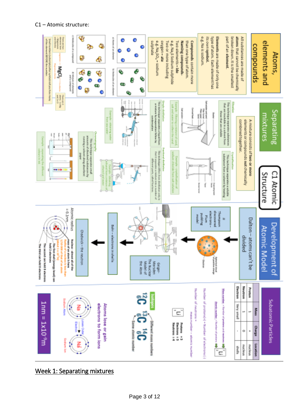

Week 1: Separating mixtures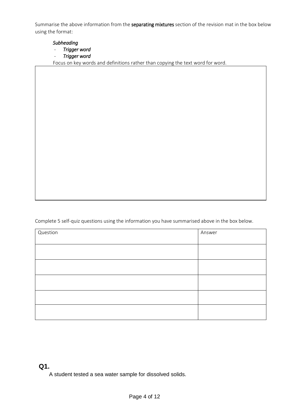Summarise the above information from the separating mixtures section of the revision mat in the box below using the format:

#### *Subheading*

- *Trigger word*
- *Trigger word*

Focus on key words and definitions rather than copying the text word for word.

Complete 5 self-quiz questions using the information you have summarised above in the box below.

| Question | Answer |
|----------|--------|
|          |        |
|          |        |
|          |        |
|          |        |
|          |        |
|          |        |

#### **Q1.**

A student tested a sea water sample for dissolved solids.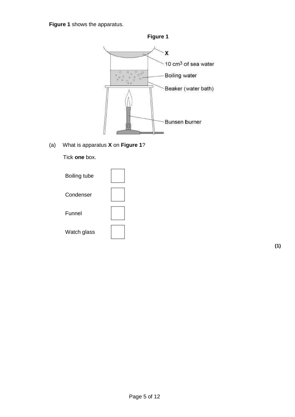**Figure 1** shows the apparatus.



#### (a) What is apparatus **X** on **Figure 1**?

Tick **one** box.

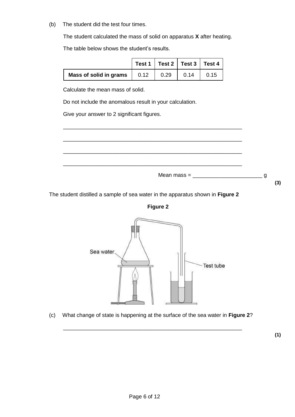(b) The student did the test four times.

The student calculated the mass of solid on apparatus **X** after heating.

The table below shows the student's results.

|                               |              |      | Test 1   Test 2   Test 3   Test 4 |      |
|-------------------------------|--------------|------|-----------------------------------|------|
| <b>Mass of solid in grams</b> | $\vert$ 0.12 | 0.29 | 0.14                              | 0.15 |

\_\_\_\_\_\_\_\_\_\_\_\_\_\_\_\_\_\_\_\_\_\_\_\_\_\_\_\_\_\_\_\_\_\_\_\_\_\_\_\_\_\_\_\_\_\_\_\_\_\_\_\_\_\_\_\_\_\_\_

\_\_\_\_\_\_\_\_\_\_\_\_\_\_\_\_\_\_\_\_\_\_\_\_\_\_\_\_\_\_\_\_\_\_\_\_\_\_\_\_\_\_\_\_\_\_\_\_\_\_\_\_\_\_\_\_\_\_\_

\_\_\_\_\_\_\_\_\_\_\_\_\_\_\_\_\_\_\_\_\_\_\_\_\_\_\_\_\_\_\_\_\_\_\_\_\_\_\_\_\_\_\_\_\_\_\_\_\_\_\_\_\_\_\_\_\_\_\_

Calculate the mean mass of solid.

Do not include the anomalous result in your calculation.

Give your answer to 2 significant figures.

\_\_\_\_\_\_\_\_\_\_\_\_\_\_\_\_\_\_\_\_\_\_\_\_\_\_\_\_\_\_\_\_\_\_\_\_\_\_\_\_\_\_\_\_\_\_\_\_\_\_\_\_\_\_\_\_\_\_\_ Mean mass = \_\_\_\_\_\_\_\_\_\_\_\_\_\_\_\_\_\_\_\_\_\_\_ g **(3)**

The student distilled a sample of sea water in the apparatus shown in **Figure 2**



(c) What change of state is happening at the surface of the sea water in **Figure 2**?

\_\_\_\_\_\_\_\_\_\_\_\_\_\_\_\_\_\_\_\_\_\_\_\_\_\_\_\_\_\_\_\_\_\_\_\_\_\_\_\_\_\_\_\_\_\_\_\_\_\_\_\_\_\_\_\_\_\_\_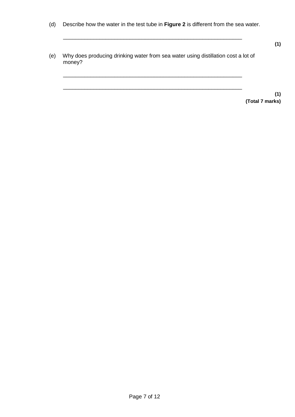(d) Describe how the water in the test tube in **Figure 2** is different from the sea water.

\_\_\_\_\_\_\_\_\_\_\_\_\_\_\_\_\_\_\_\_\_\_\_\_\_\_\_\_\_\_\_\_\_\_\_\_\_\_\_\_\_\_\_\_\_\_\_\_\_\_\_\_\_\_\_\_\_\_\_

(e) Why does producing drinking water from sea water using distillation cost a lot of money?

\_\_\_\_\_\_\_\_\_\_\_\_\_\_\_\_\_\_\_\_\_\_\_\_\_\_\_\_\_\_\_\_\_\_\_\_\_\_\_\_\_\_\_\_\_\_\_\_\_\_\_\_\_\_\_\_\_\_\_

\_\_\_\_\_\_\_\_\_\_\_\_\_\_\_\_\_\_\_\_\_\_\_\_\_\_\_\_\_\_\_\_\_\_\_\_\_\_\_\_\_\_\_\_\_\_\_\_\_\_\_\_\_\_\_\_\_\_\_

**(1) (Total 7 marks)**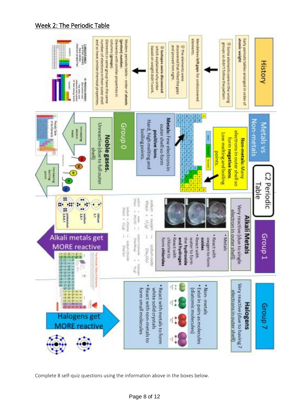### Week 2: The Periodic Table



Complete 8 self-quiz questions using the information above in the boxes below.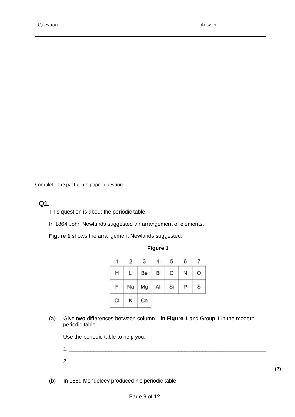| Question | Answer |
|----------|--------|
|          |        |
|          |        |
|          |        |
|          |        |
|          |        |
|          |        |
|          |        |
|          |        |
|          |        |

Complete the past exam paper question:

#### **Q1.**

This question is about the periodic table.

In 1864 John Newlands suggested an arrangement of elements.

**Figure 1** shows the arrangement Newlands suggested.

|    |    |    |    |    | 6 |   |
|----|----|----|----|----|---|---|
| Н  | Li | Be | В  | C  | Ν | O |
|    | Na | Mg | AI | Si | P | S |
| CI |    | Ca |    |    |   |   |

**Figure 1**

(a) Give **two** differences between column 1 in **Figure 1** and Group 1 in the modern periodic table.

Use the periodic table to help you.

- 1.  $\Box$  $2.$
- (b) In 1869 Mendeleev produced his periodic table.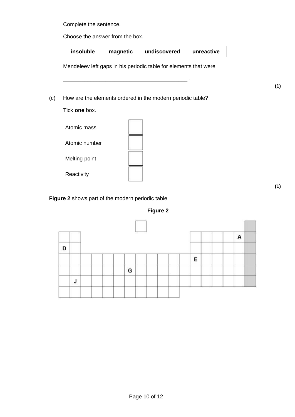Complete the sentence.

Choose the answer from the box.

**insoluble magnetic undiscovered unreactive** Mendeleev left gaps in his periodic table for elements that were \_\_\_\_\_\_\_\_\_\_\_\_\_\_\_\_\_\_\_\_\_\_\_\_\_\_\_\_\_\_\_\_\_\_\_\_\_\_\_\_\_ . (c) How are the elements ordered in the modern periodic table? Tick **one** box. Atomic mass Atomic number Melting point

**Figure 2** shows part of the modern periodic table.

**Reactivity** 



|   |             | ,,, |  |   | A |
|---|-------------|-----|--|---|---|
| D |             |     |  |   |   |
|   |             |     |  | E |   |
|   |             | G   |  |   |   |
|   | J<br>$\sim$ |     |  |   |   |

**(1)**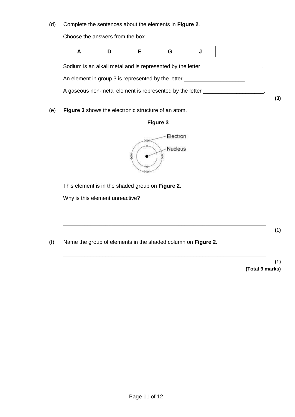(d) Complete the sentences about the elements in **Figure 2**.

Choose the answers from the box.



(e) **Figure 3** shows the electronic structure of an atom.





\_\_\_\_\_\_\_\_\_\_\_\_\_\_\_\_\_\_\_\_\_\_\_\_\_\_\_\_\_\_\_\_\_\_\_\_\_\_\_\_\_\_\_\_\_\_\_\_\_\_\_\_\_\_\_\_\_\_\_\_\_\_\_\_\_\_\_

\_\_\_\_\_\_\_\_\_\_\_\_\_\_\_\_\_\_\_\_\_\_\_\_\_\_\_\_\_\_\_\_\_\_\_\_\_\_\_\_\_\_\_\_\_\_\_\_\_\_\_\_\_\_\_\_\_\_\_\_\_\_\_\_\_\_\_

\_\_\_\_\_\_\_\_\_\_\_\_\_\_\_\_\_\_\_\_\_\_\_\_\_\_\_\_\_\_\_\_\_\_\_\_\_\_\_\_\_\_\_\_\_\_\_\_\_\_\_\_\_\_\_\_\_\_\_\_\_\_\_\_\_\_\_

This element is in the shaded group on **Figure 2**.

Why is this element unreactive?

**(1)**

(f) Name the group of elements in the shaded column on **Figure 2**.

**(1) (Total 9 marks)**